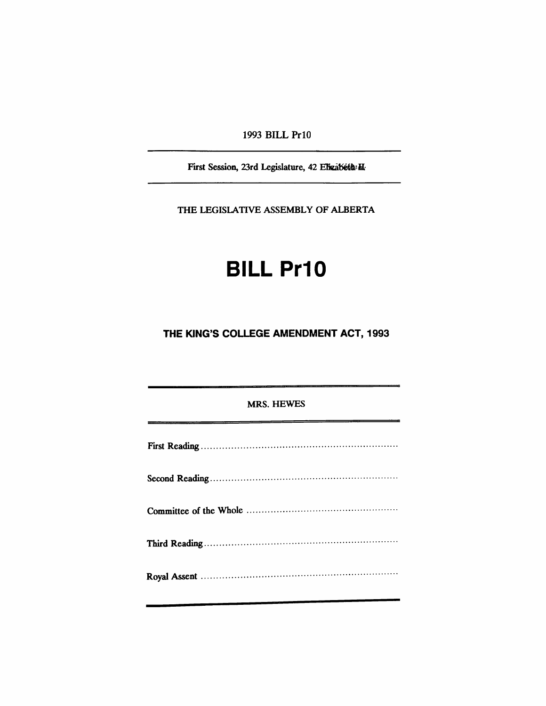1993 BILL Prl0

First Session, 23rd Legislature, 42 Elizabeth H.

THE LEGISlATIVE ASSEMBLY OF ALBERTA

# **BILL Pr10**

### **THE KING'S COLLEGE AMENDMENT ACT, 1993**

#### MRS. HEWES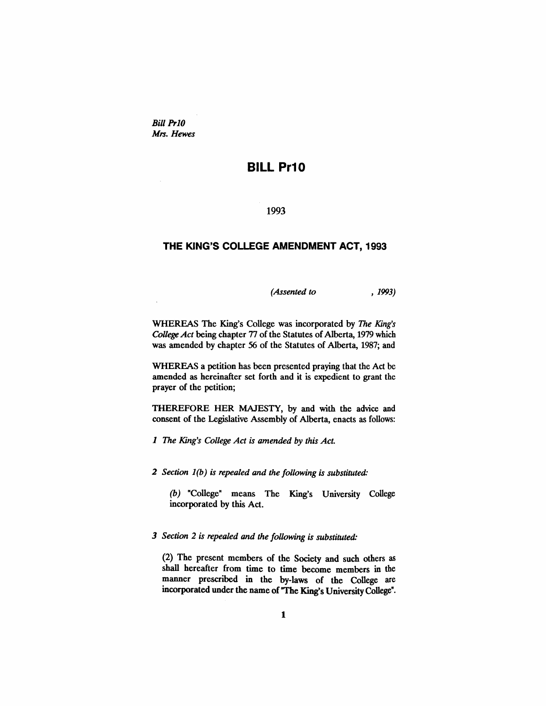*Bill Pr10 Mrs. Hewes*

## **BILL Pr10**

1993

#### **THE KING'S COLLEGE AMENDMENT ACT, 1993**

*(Assented to* , 1993)

WHEREAS The King's College was incorporated by *The King's College Act* being chapter 77 of the Statutes of Alberta, 1979 which was amended by chapter 56 of the Statutes of Alberta, 1987; and

WHEREAS a petition has been presented praying that the Act be amended as hereinafter set forth and it is expedient to grant the prayer of the petition;

THEREFORE HER MAJESTY, by and with the advice and consent of the Legislative Assembly of Alberta, enacts as follows:

*1 The King's College Act is amended by this Act.*

*2 Section* 1*(b) is repealed and the following is substituted:*

(b) "College" means The King's University College incorporated by this Act.

*3 Section* 2 *is repealed and the following is substituted:*

(2) The present members of the Society and such others as shall hereafter from time to time become members in the manner prescribed in the by-laws of the College are incorporated under the name of "The King's UniversityCollege".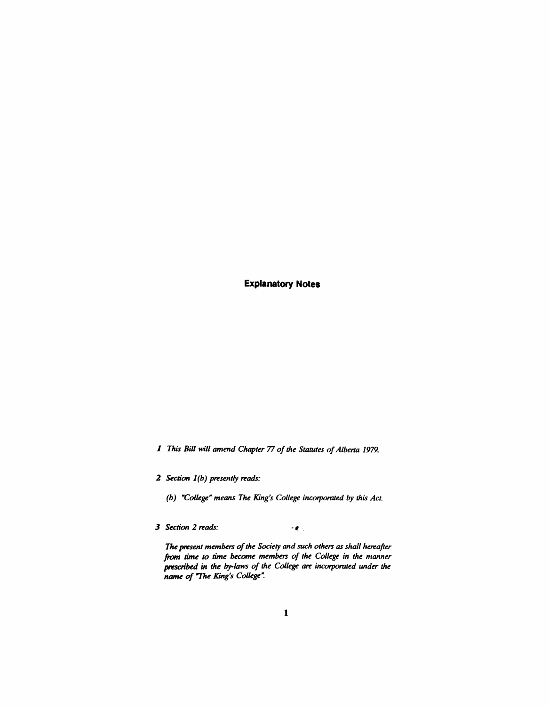**Explanatory Notes**

*1 This Bill will amend Chapter* 77 *of the Statutes ofAlberta 1979.*

*2 Section* 1*(b) presently reads:*

*(b) "College" means The King's College incorporated by this Act.*

J *Section* 2 *reads:*  $\mathcal{F}(\pmb{\xi})$  .

*The pt'esent members ofthe Society and such others as shall hereafter* from *time to time become members of the College* in *the manner* ~cribed in *the by-laws of the College are incorporated under the name of "The King's College".*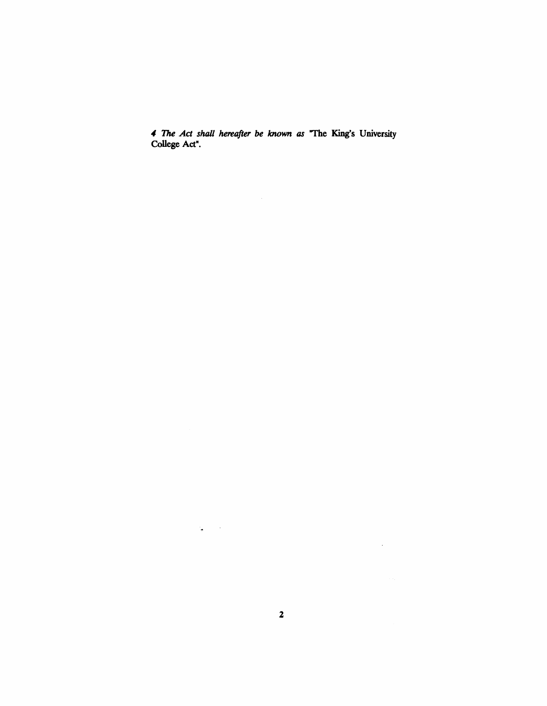., *The Act shall hereafter be known as* "The King's University College Act".

 $\sim 10^{11}$ 

 $\mathcal{L}_{\bullet}$  , and  $\mathcal{L}_{\bullet}$